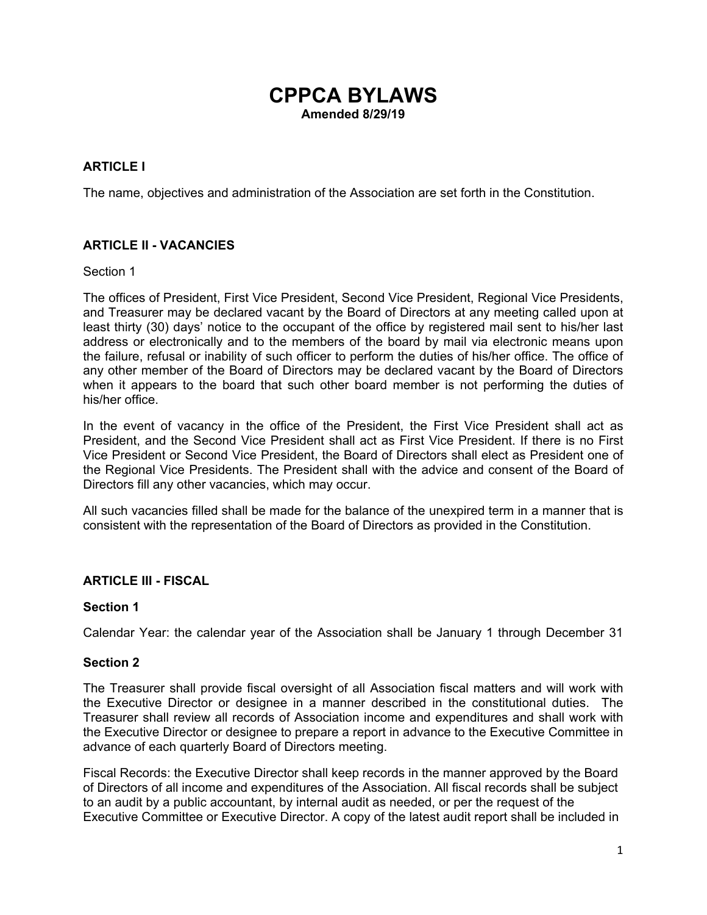# **CPPCA BYLAWS Amended 8/29/19**

### **ARTICLE I**

The name, objectives and administration of the Association are set forth in the Constitution.

### **ARTICLE II - VACANCIES**

#### Section 1

The offices of President, First Vice President, Second Vice President, Regional Vice Presidents, and Treasurer may be declared vacant by the Board of Directors at any meeting called upon at least thirty (30) days' notice to the occupant of the office by registered mail sent to his/her last address or electronically and to the members of the board by mail via electronic means upon the failure, refusal or inability of such officer to perform the duties of his/her office. The office of any other member of the Board of Directors may be declared vacant by the Board of Directors when it appears to the board that such other board member is not performing the duties of his/her office.

In the event of vacancy in the office of the President, the First Vice President shall act as President, and the Second Vice President shall act as First Vice President. If there is no First Vice President or Second Vice President, the Board of Directors shall elect as President one of the Regional Vice Presidents. The President shall with the advice and consent of the Board of Directors fill any other vacancies, which may occur.

All such vacancies filled shall be made for the balance of the unexpired term in a manner that is consistent with the representation of the Board of Directors as provided in the Constitution.

#### **ARTICLE III - FISCAL**

#### **Section 1**

Calendar Year: the calendar year of the Association shall be January 1 through December 31

#### **Section 2**

The Treasurer shall provide fiscal oversight of all Association fiscal matters and will work with the Executive Director or designee in a manner described in the constitutional duties. The Treasurer shall review all records of Association income and expenditures and shall work with the Executive Director or designee to prepare a report in advance to the Executive Committee in advance of each quarterly Board of Directors meeting.

Fiscal Records: the Executive Director shall keep records in the manner approved by the Board of Directors of all income and expenditures of the Association. All fiscal records shall be subject to an audit by a public accountant, by internal audit as needed, or per the request of the Executive Committee or Executive Director. A copy of the latest audit report shall be included in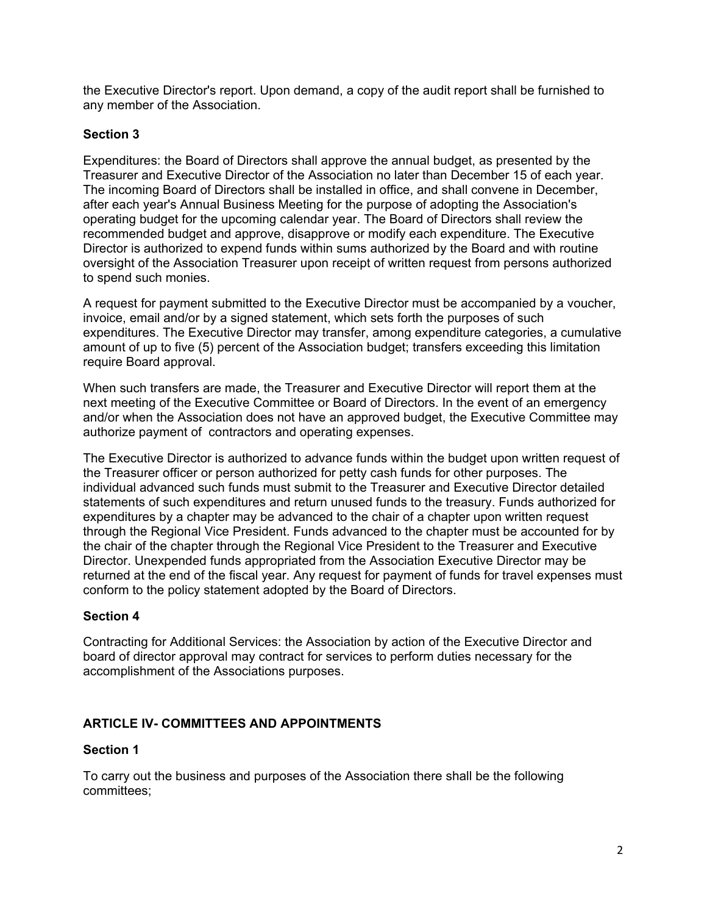the Executive Director's report. Upon demand, a copy of the audit report shall be furnished to any member of the Association.

### **Section 3**

Expenditures: the Board of Directors shall approve the annual budget, as presented by the Treasurer and Executive Director of the Association no later than December 15 of each year. The incoming Board of Directors shall be installed in office, and shall convene in December, after each year's Annual Business Meeting for the purpose of adopting the Association's operating budget for the upcoming calendar year. The Board of Directors shall review the recommended budget and approve, disapprove or modify each expenditure. The Executive Director is authorized to expend funds within sums authorized by the Board and with routine oversight of the Association Treasurer upon receipt of written request from persons authorized to spend such monies.

A request for payment submitted to the Executive Director must be accompanied by a voucher, invoice, email and/or by a signed statement, which sets forth the purposes of such expenditures. The Executive Director may transfer, among expenditure categories, a cumulative amount of up to five (5) percent of the Association budget; transfers exceeding this limitation require Board approval.

When such transfers are made, the Treasurer and Executive Director will report them at the next meeting of the Executive Committee or Board of Directors. In the event of an emergency and/or when the Association does not have an approved budget, the Executive Committee may authorize payment of contractors and operating expenses.

The Executive Director is authorized to advance funds within the budget upon written request of the Treasurer officer or person authorized for petty cash funds for other purposes. The individual advanced such funds must submit to the Treasurer and Executive Director detailed statements of such expenditures and return unused funds to the treasury. Funds authorized for expenditures by a chapter may be advanced to the chair of a chapter upon written request through the Regional Vice President. Funds advanced to the chapter must be accounted for by the chair of the chapter through the Regional Vice President to the Treasurer and Executive Director. Unexpended funds appropriated from the Association Executive Director may be returned at the end of the fiscal year. Any request for payment of funds for travel expenses must conform to the policy statement adopted by the Board of Directors.

#### **Section 4**

Contracting for Additional Services: the Association by action of the Executive Director and board of director approval may contract for services to perform duties necessary for the accomplishment of the Associations purposes.

#### **ARTICLE IV- COMMITTEES AND APPOINTMENTS**

#### **Section 1**

To carry out the business and purposes of the Association there shall be the following committees;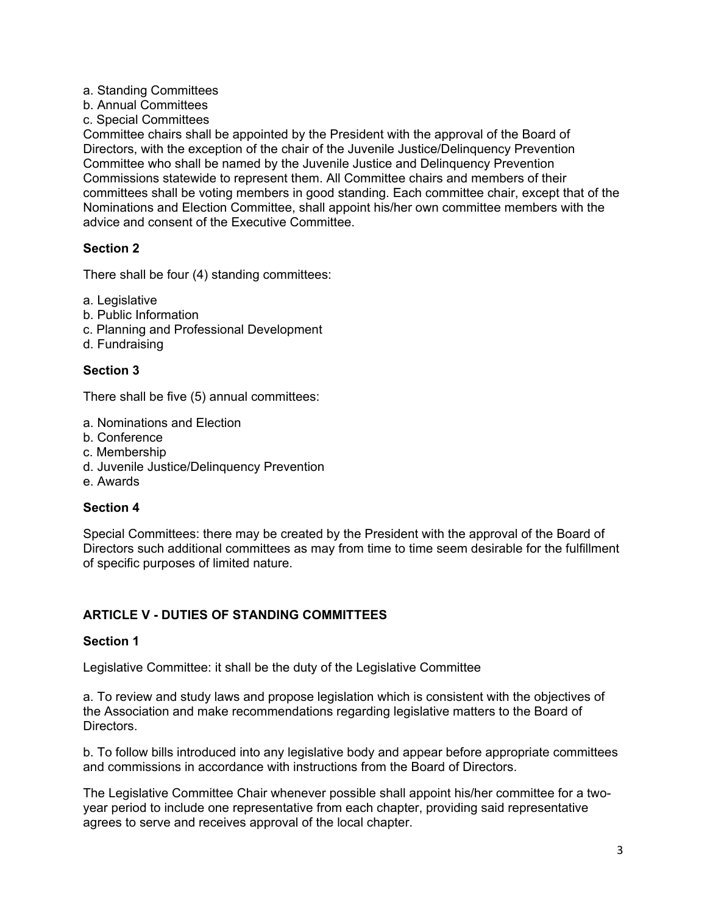#### a. Standing Committees

- b. Annual Committees
- c. Special Committees

Committee chairs shall be appointed by the President with the approval of the Board of Directors, with the exception of the chair of the Juvenile Justice/Delinquency Prevention Committee who shall be named by the Juvenile Justice and Delinquency Prevention Commissions statewide to represent them. All Committee chairs and members of their committees shall be voting members in good standing. Each committee chair, except that of the Nominations and Election Committee, shall appoint his/her own committee members with the advice and consent of the Executive Committee.

### **Section 2**

There shall be four (4) standing committees:

- a. Legislative
- b. Public Information
- c. Planning and Professional Development
- d. Fundraising

#### **Section 3**

There shall be five (5) annual committees:

- a. Nominations and Election
- b. Conference
- c. Membership
- d. Juvenile Justice/Delinquency Prevention
- e. Awards

#### **Section 4**

Special Committees: there may be created by the President with the approval of the Board of Directors such additional committees as may from time to time seem desirable for the fulfillment of specific purposes of limited nature.

# **ARTICLE V - DUTIES OF STANDING COMMITTEES**

#### **Section 1**

Legislative Committee: it shall be the duty of the Legislative Committee

a. To review and study laws and propose legislation which is consistent with the objectives of the Association and make recommendations regarding legislative matters to the Board of Directors.

b. To follow bills introduced into any legislative body and appear before appropriate committees and commissions in accordance with instructions from the Board of Directors.

The Legislative Committee Chair whenever possible shall appoint his/her committee for a twoyear period to include one representative from each chapter, providing said representative agrees to serve and receives approval of the local chapter.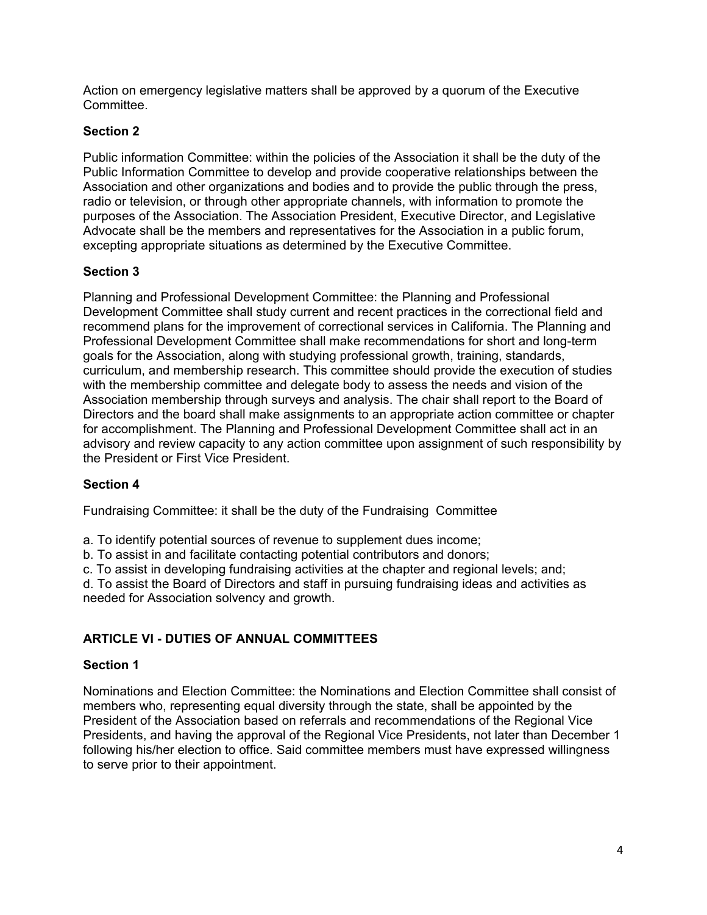Action on emergency legislative matters shall be approved by a quorum of the Executive **Committee.** 

### **Section 2**

Public information Committee: within the policies of the Association it shall be the duty of the Public Information Committee to develop and provide cooperative relationships between the Association and other organizations and bodies and to provide the public through the press, radio or television, or through other appropriate channels, with information to promote the purposes of the Association. The Association President, Executive Director, and Legislative Advocate shall be the members and representatives for the Association in a public forum, excepting appropriate situations as determined by the Executive Committee.

### **Section 3**

Planning and Professional Development Committee: the Planning and Professional Development Committee shall study current and recent practices in the correctional field and recommend plans for the improvement of correctional services in California. The Planning and Professional Development Committee shall make recommendations for short and long-term goals for the Association, along with studying professional growth, training, standards, curriculum, and membership research. This committee should provide the execution of studies with the membership committee and delegate body to assess the needs and vision of the Association membership through surveys and analysis. The chair shall report to the Board of Directors and the board shall make assignments to an appropriate action committee or chapter for accomplishment. The Planning and Professional Development Committee shall act in an advisory and review capacity to any action committee upon assignment of such responsibility by the President or First Vice President.

# **Section 4**

Fundraising Committee: it shall be the duty of the Fundraising Committee

a. To identify potential sources of revenue to supplement dues income;

b. To assist in and facilitate contacting potential contributors and donors;

c. To assist in developing fundraising activities at the chapter and regional levels; and;

d. To assist the Board of Directors and staff in pursuing fundraising ideas and activities as needed for Association solvency and growth.

# **ARTICLE VI - DUTIES OF ANNUAL COMMITTEES**

#### **Section 1**

Nominations and Election Committee: the Nominations and Election Committee shall consist of members who, representing equal diversity through the state, shall be appointed by the President of the Association based on referrals and recommendations of the Regional Vice Presidents, and having the approval of the Regional Vice Presidents, not later than December 1 following his/her election to office. Said committee members must have expressed willingness to serve prior to their appointment.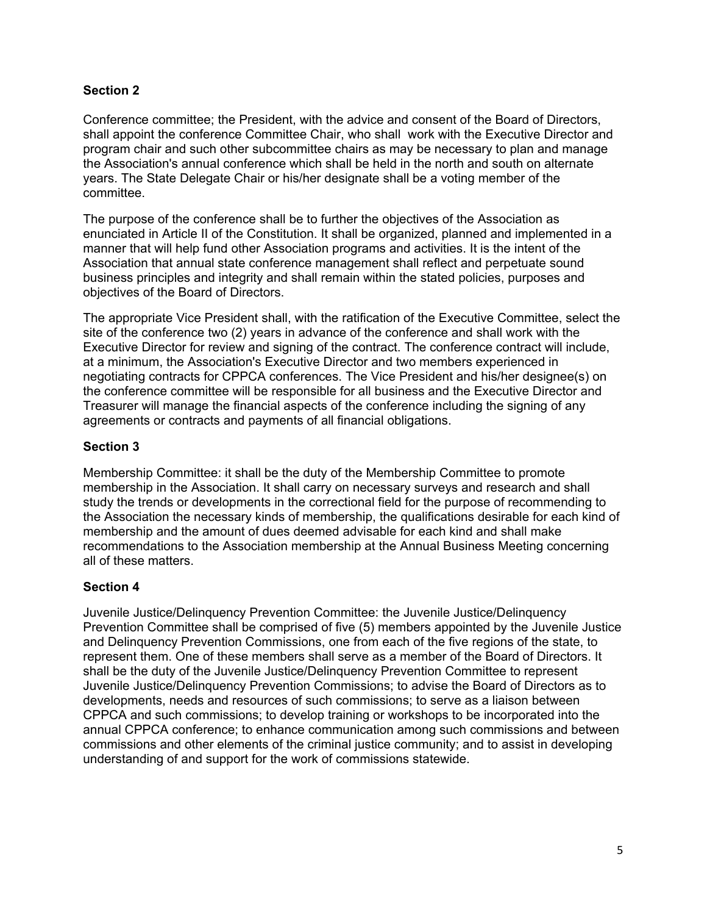### **Section 2**

Conference committee; the President, with the advice and consent of the Board of Directors, shall appoint the conference Committee Chair, who shall work with the Executive Director and program chair and such other subcommittee chairs as may be necessary to plan and manage the Association's annual conference which shall be held in the north and south on alternate years. The State Delegate Chair or his/her designate shall be a voting member of the committee.

The purpose of the conference shall be to further the objectives of the Association as enunciated in Article II of the Constitution. It shall be organized, planned and implemented in a manner that will help fund other Association programs and activities. It is the intent of the Association that annual state conference management shall reflect and perpetuate sound business principles and integrity and shall remain within the stated policies, purposes and objectives of the Board of Directors.

The appropriate Vice President shall, with the ratification of the Executive Committee, select the site of the conference two (2) years in advance of the conference and shall work with the Executive Director for review and signing of the contract. The conference contract will include, at a minimum, the Association's Executive Director and two members experienced in negotiating contracts for CPPCA conferences. The Vice President and his/her designee(s) on the conference committee will be responsible for all business and the Executive Director and Treasurer will manage the financial aspects of the conference including the signing of any agreements or contracts and payments of all financial obligations.

### **Section 3**

Membership Committee: it shall be the duty of the Membership Committee to promote membership in the Association. It shall carry on necessary surveys and research and shall study the trends or developments in the correctional field for the purpose of recommending to the Association the necessary kinds of membership, the qualifications desirable for each kind of membership and the amount of dues deemed advisable for each kind and shall make recommendations to the Association membership at the Annual Business Meeting concerning all of these matters.

#### **Section 4**

Juvenile Justice/Delinquency Prevention Committee: the Juvenile Justice/Delinquency Prevention Committee shall be comprised of five (5) members appointed by the Juvenile Justice and Delinquency Prevention Commissions, one from each of the five regions of the state, to represent them. One of these members shall serve as a member of the Board of Directors. It shall be the duty of the Juvenile Justice/Delinquency Prevention Committee to represent Juvenile Justice/Delinquency Prevention Commissions; to advise the Board of Directors as to developments, needs and resources of such commissions; to serve as a liaison between CPPCA and such commissions; to develop training or workshops to be incorporated into the annual CPPCA conference; to enhance communication among such commissions and between commissions and other elements of the criminal justice community; and to assist in developing understanding of and support for the work of commissions statewide.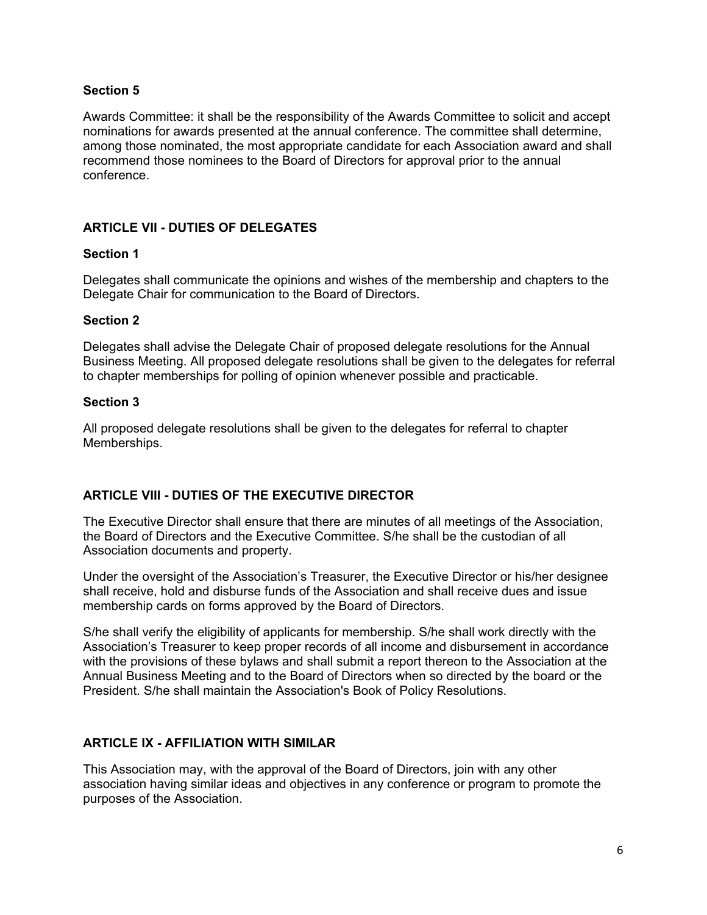#### **Section 5**

Awards Committee: it shall be the responsibility of the Awards Committee to solicit and accept nominations for awards presented at the annual conference. The committee shall determine, among those nominated, the most appropriate candidate for each Association award and shall recommend those nominees to the Board of Directors for approval prior to the annual conference.

#### **ARTICLE VII - DUTIES OF DELEGATES**

#### **Section 1**

Delegates shall communicate the opinions and wishes of the membership and chapters to the Delegate Chair for communication to the Board of Directors.

#### **Section 2**

Delegates shall advise the Delegate Chair of proposed delegate resolutions for the Annual Business Meeting. All proposed delegate resolutions shall be given to the delegates for referral to chapter memberships for polling of opinion whenever possible and practicable.

#### **Section 3**

All proposed delegate resolutions shall be given to the delegates for referral to chapter Memberships.

#### **ARTICLE VIII - DUTIES OF THE EXECUTIVE DIRECTOR**

The Executive Director shall ensure that there are minutes of all meetings of the Association, the Board of Directors and the Executive Committee. S/he shall be the custodian of all Association documents and property.

Under the oversight of the Association's Treasurer, the Executive Director or his/her designee shall receive, hold and disburse funds of the Association and shall receive dues and issue membership cards on forms approved by the Board of Directors.

S/he shall verify the eligibility of applicants for membership. S/he shall work directly with the Association's Treasurer to keep proper records of all income and disbursement in accordance with the provisions of these bylaws and shall submit a report thereon to the Association at the Annual Business Meeting and to the Board of Directors when so directed by the board or the President. S/he shall maintain the Association's Book of Policy Resolutions.

#### **ARTICLE IX - AFFILIATION WITH SIMILAR**

This Association may, with the approval of the Board of Directors, join with any other association having similar ideas and objectives in any conference or program to promote the purposes of the Association.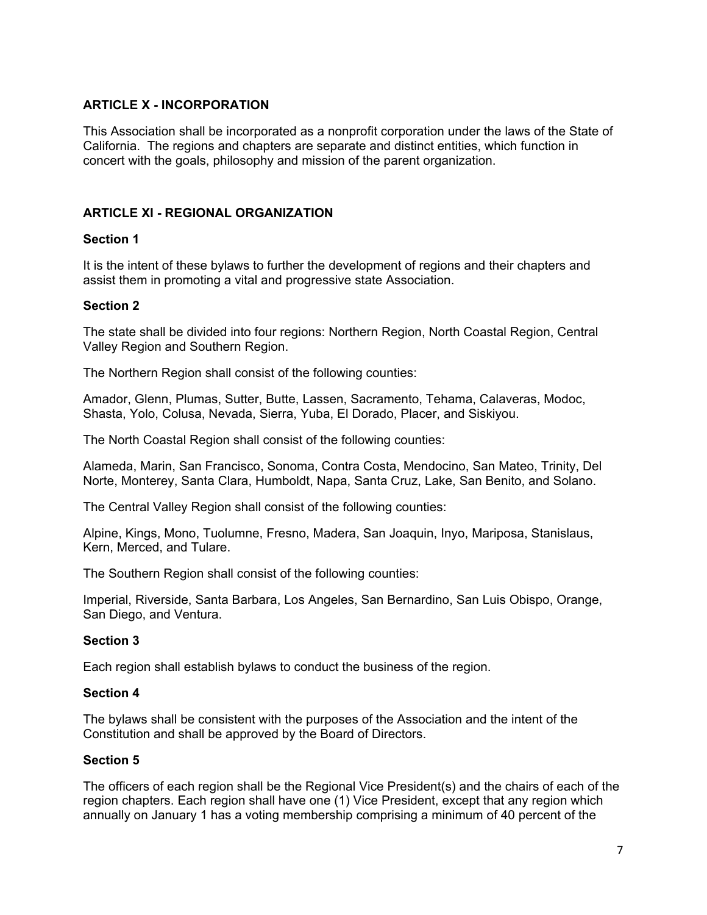### **ARTICLE X - INCORPORATION**

This Association shall be incorporated as a nonprofit corporation under the laws of the State of California. The regions and chapters are separate and distinct entities, which function in concert with the goals, philosophy and mission of the parent organization.

### **ARTICLE XI - REGIONAL ORGANIZATION**

#### **Section 1**

It is the intent of these bylaws to further the development of regions and their chapters and assist them in promoting a vital and progressive state Association.

#### **Section 2**

The state shall be divided into four regions: Northern Region, North Coastal Region, Central Valley Region and Southern Region.

The Northern Region shall consist of the following counties:

Amador, Glenn, Plumas, Sutter, Butte, Lassen, Sacramento, Tehama, Calaveras, Modoc, Shasta, Yolo, Colusa, Nevada, Sierra, Yuba, El Dorado, Placer, and Siskiyou.

The North Coastal Region shall consist of the following counties:

Alameda, Marin, San Francisco, Sonoma, Contra Costa, Mendocino, San Mateo, Trinity, Del Norte, Monterey, Santa Clara, Humboldt, Napa, Santa Cruz, Lake, San Benito, and Solano.

The Central Valley Region shall consist of the following counties:

Alpine, Kings, Mono, Tuolumne, Fresno, Madera, San Joaquin, Inyo, Mariposa, Stanislaus, Kern, Merced, and Tulare.

The Southern Region shall consist of the following counties:

Imperial, Riverside, Santa Barbara, Los Angeles, San Bernardino, San Luis Obispo, Orange, San Diego, and Ventura.

#### **Section 3**

Each region shall establish bylaws to conduct the business of the region.

#### **Section 4**

The bylaws shall be consistent with the purposes of the Association and the intent of the Constitution and shall be approved by the Board of Directors.

#### **Section 5**

The officers of each region shall be the Regional Vice President(s) and the chairs of each of the region chapters. Each region shall have one (1) Vice President, except that any region which annually on January 1 has a voting membership comprising a minimum of 40 percent of the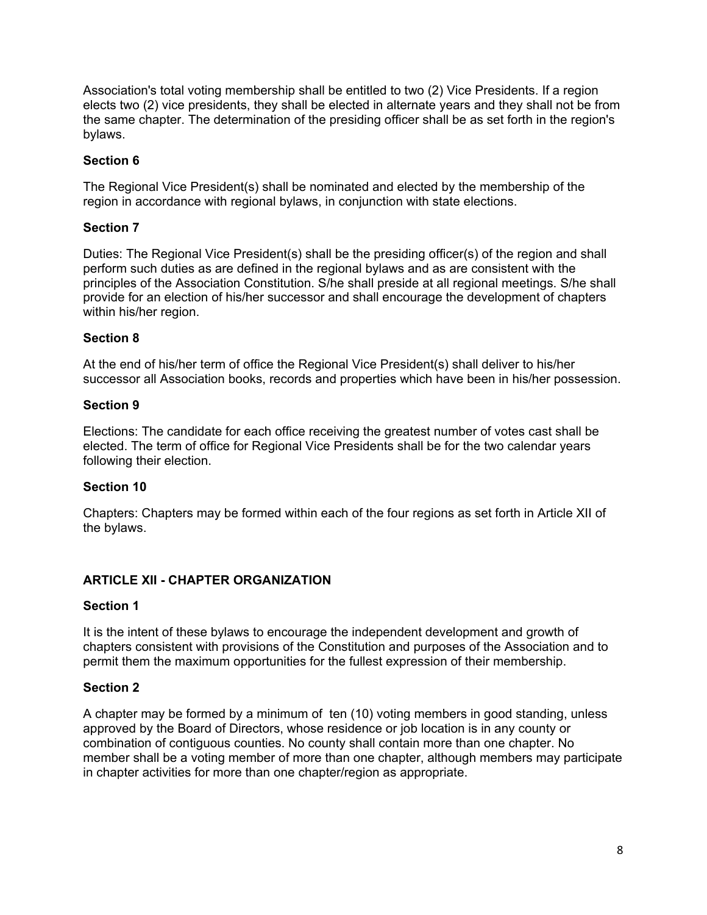Association's total voting membership shall be entitled to two (2) Vice Presidents. If a region elects two (2) vice presidents, they shall be elected in alternate years and they shall not be from the same chapter. The determination of the presiding officer shall be as set forth in the region's bylaws.

### **Section 6**

The Regional Vice President(s) shall be nominated and elected by the membership of the region in accordance with regional bylaws, in conjunction with state elections.

#### **Section 7**

Duties: The Regional Vice President(s) shall be the presiding officer(s) of the region and shall perform such duties as are defined in the regional bylaws and as are consistent with the principles of the Association Constitution. S/he shall preside at all regional meetings. S/he shall provide for an election of his/her successor and shall encourage the development of chapters within his/her region.

### **Section 8**

At the end of his/her term of office the Regional Vice President(s) shall deliver to his/her successor all Association books, records and properties which have been in his/her possession.

#### **Section 9**

Elections: The candidate for each office receiving the greatest number of votes cast shall be elected. The term of office for Regional Vice Presidents shall be for the two calendar years following their election.

# **Section 10**

Chapters: Chapters may be formed within each of the four regions as set forth in Article XII of the bylaws.

# **ARTICLE XII - CHAPTER ORGANIZATION**

#### **Section 1**

It is the intent of these bylaws to encourage the independent development and growth of chapters consistent with provisions of the Constitution and purposes of the Association and to permit them the maximum opportunities for the fullest expression of their membership.

#### **Section 2**

A chapter may be formed by a minimum of ten (10) voting members in good standing, unless approved by the Board of Directors, whose residence or job location is in any county or combination of contiguous counties. No county shall contain more than one chapter. No member shall be a voting member of more than one chapter, although members may participate in chapter activities for more than one chapter/region as appropriate.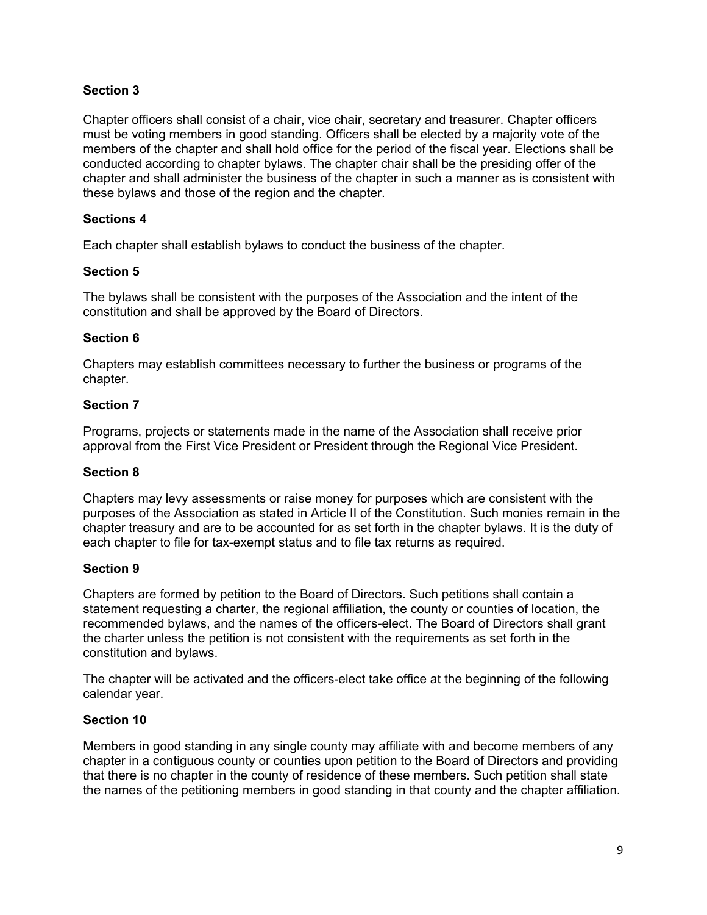### **Section 3**

Chapter officers shall consist of a chair, vice chair, secretary and treasurer. Chapter officers must be voting members in good standing. Officers shall be elected by a majority vote of the members of the chapter and shall hold office for the period of the fiscal year. Elections shall be conducted according to chapter bylaws. The chapter chair shall be the presiding offer of the chapter and shall administer the business of the chapter in such a manner as is consistent with these bylaws and those of the region and the chapter.

#### **Sections 4**

Each chapter shall establish bylaws to conduct the business of the chapter.

#### **Section 5**

The bylaws shall be consistent with the purposes of the Association and the intent of the constitution and shall be approved by the Board of Directors.

#### **Section 6**

Chapters may establish committees necessary to further the business or programs of the chapter.

#### **Section 7**

Programs, projects or statements made in the name of the Association shall receive prior approval from the First Vice President or President through the Regional Vice President.

#### **Section 8**

Chapters may levy assessments or raise money for purposes which are consistent with the purposes of the Association as stated in Article II of the Constitution. Such monies remain in the chapter treasury and are to be accounted for as set forth in the chapter bylaws. It is the duty of each chapter to file for tax-exempt status and to file tax returns as required.

#### **Section 9**

Chapters are formed by petition to the Board of Directors. Such petitions shall contain a statement requesting a charter, the regional affiliation, the county or counties of location, the recommended bylaws, and the names of the officers-elect. The Board of Directors shall grant the charter unless the petition is not consistent with the requirements as set forth in the constitution and bylaws.

The chapter will be activated and the officers-elect take office at the beginning of the following calendar year.

#### **Section 10**

Members in good standing in any single county may affiliate with and become members of any chapter in a contiguous county or counties upon petition to the Board of Directors and providing that there is no chapter in the county of residence of these members. Such petition shall state the names of the petitioning members in good standing in that county and the chapter affiliation.